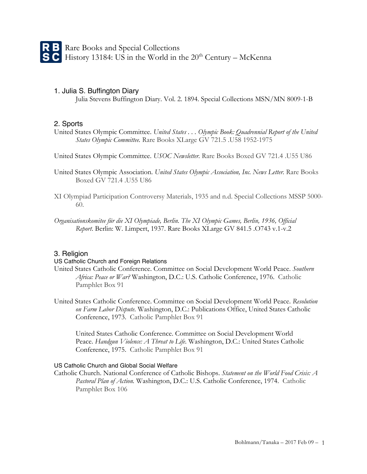## 1. Julia S. Buffington Diary

Julia Stevens Buffington Diary. Vol. 2. 1894. Special Collections MSN/MN 8009-1-B

# 2. Sports

- United States Olympic Committee. *United States . . . Olympic Book: Quadrennial Report of the United States Olympic Committee.* Rare Books XLarge GV 721.5 .U58 1952-1975
- United States Olympic Committee. *USOC Newsletter.* Rare Books Boxed GV 721.4 .U55 U86
- United States Olympic Association. *United States Olympic Association, Inc. News Letter.* Rare Books Boxed GV 721.4 .U55 U86
- XI Olympiad Participation Controversy Materials, 1935 and n.d. Special Collections MSSP 5000- 60.
- *Organisationskomitee für die XI Olympiade, Berlin. The XI Olympic Games, Berlin, 1936, Official Report*. Berlin: W. Limpert, 1937. Rare Books XLarge GV 841.5 .O743 v.1-v.2

## 3. Religion

#### US Catholic Church and Foreign Relations

- United States Catholic Conference. Committee on Social Development World Peace. *Southern Africa: Peace or War?* Washington, D.C.: U.S. Catholic Conference, 1976. Catholic Pamphlet Box 91
- United States Catholic Conference. Committee on Social Development World Peace. *Resolution on Farm Labor Dispute*. Washington, D.C.: Publications Office, United States Catholic Conference, 1973. Catholic Pamphlet Box 91

United States Catholic Conference. Committee on Social Development World Peace. *Handgun Violence: A Threat to Life*. Washington, D.C.: United States Catholic Conference, 1975. Catholic Pamphlet Box 91

## US Catholic Church and Global Social Welfare

Catholic Church. National Conference of Catholic Bishops. *Statement on the World Food Crisis: A Pastoral Plan of Action.* Washington, D.C.: U.S. Catholic Conference, 1974. Catholic Pamphlet Box 106